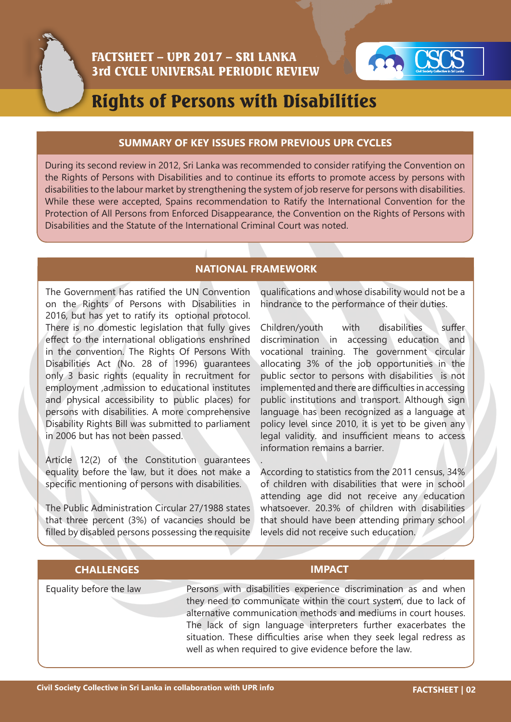



# Rights of Persons with Disabilities

#### **SUMMARY OF KEY ISSUES FROM PREVIOUS UPR CYCLES**

During its second review in 2012, Sri Lanka was recommended to consider ratifying the Convention on the Rights of Persons with Disabilities and to continue its efforts to promote access by persons with disabilities to the labour market by strengthening the system of job reserve for persons with disabilities. While these were accepted, Spains recommendation to Ratify the International Convention for the Protection of All Persons from Enforced Disappearance, the Convention on the Rights of Persons with Disabilities and the Statute of the International Criminal Court was noted.

### **NATIONAL FRAMEWORK**

.

The Government has ratified the UN Convention on the Rights of Persons with Disabilities in 2016, but has yet to ratify its optional protocol. There is no domestic legislation that fully gives effect to the international obligations enshrined in the convention. The Rights Of Persons With Disabilities Act (No. 28 of 1996) guarantees only 3 basic rights (equality in recruitment for employment ,admission to educational institutes and physical accessibility to public places) for persons with disabilities. A more comprehensive Disability Rights Bill was submitted to parliament in 2006 but has not been passed.

Article 12(2) of the Constitution guarantees equality before the law, but it does not make a specific mentioning of persons with disabilities.

The Public Administration Circular 27/1988 states that three percent (3%) of vacancies should be filled by disabled persons possessing the requisite qualifications and whose disability would not be a hindrance to the performance of their duties.

Children/youth with disabilities suffer discrimination in accessing education and vocational training. The government circular allocating 3% of the job opportunities in the public sector to persons with disabilities is not implemented and there are difficulties in accessing public institutions and transport. Although sign language has been recognized as a language at policy level since 2010, it is yet to be given any legal validity. and insufficient means to access information remains a barrier.

According to statistics from the 2011 census, 34% of children with disabilities that were in school attending age did not receive any education whatsoever. 20.3% of children with disabilities that should have been attending primary school levels did not receive such education.

## **CHALLENGES IMPACT**

Equality before the law Persons with disabilities experience discrimination as and when they need to communicate within the court system, due to lack of alternative communication methods and mediums in court houses. The lack of sign language interpreters further exacerbates the situation. These difficulties arise when they seek legal redress as well as when required to give evidence before the law.